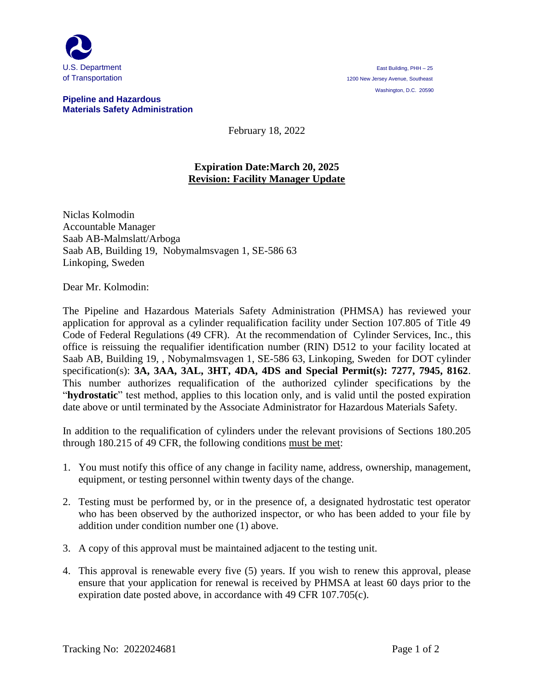

## **Pipeline and Hazardous Materials Safety Administration**

February 18, 2022

## **Expiration Date:March 20, 2025 Revision: Facility Manager Update**

Niclas Kolmodin Accountable Manager Saab AB-Malmslatt/Arboga Saab AB, Building 19, Nobymalmsvagen 1, SE-586 63 Linkoping, Sweden

Dear Mr. Kolmodin:

The Pipeline and Hazardous Materials Safety Administration (PHMSA) has reviewed your application for approval as a cylinder requalification facility under Section 107.805 of Title 49 Code of Federal Regulations (49 CFR). At the recommendation of Cylinder Services, Inc., this office is reissuing the requalifier identification number (RIN) D512 to your facility located at Saab AB, Building 19, , Nobymalmsvagen 1, SE-586 63, Linkoping, Sweden for DOT cylinder specification(s): **3A, 3AA, 3AL, 3HT, 4DA, 4DS and Special Permit(s): 7277, 7945, 8162**. This number authorizes requalification of the authorized cylinder specifications by the "**hydrostatic**" test method, applies to this location only, and is valid until the posted expiration date above or until terminated by the Associate Administrator for Hazardous Materials Safety.

In addition to the requalification of cylinders under the relevant provisions of Sections 180.205 through 180.215 of 49 CFR, the following conditions must be met:

- 1. You must notify this office of any change in facility name, address, ownership, management, equipment, or testing personnel within twenty days of the change.
- 2. Testing must be performed by, or in the presence of, a designated hydrostatic test operator who has been observed by the authorized inspector, or who has been added to your file by addition under condition number one (1) above.
- 3. A copy of this approval must be maintained adjacent to the testing unit.
- 4. This approval is renewable every five (5) years. If you wish to renew this approval, please ensure that your application for renewal is received by PHMSA at least 60 days prior to the expiration date posted above, in accordance with 49 CFR 107.705(c).